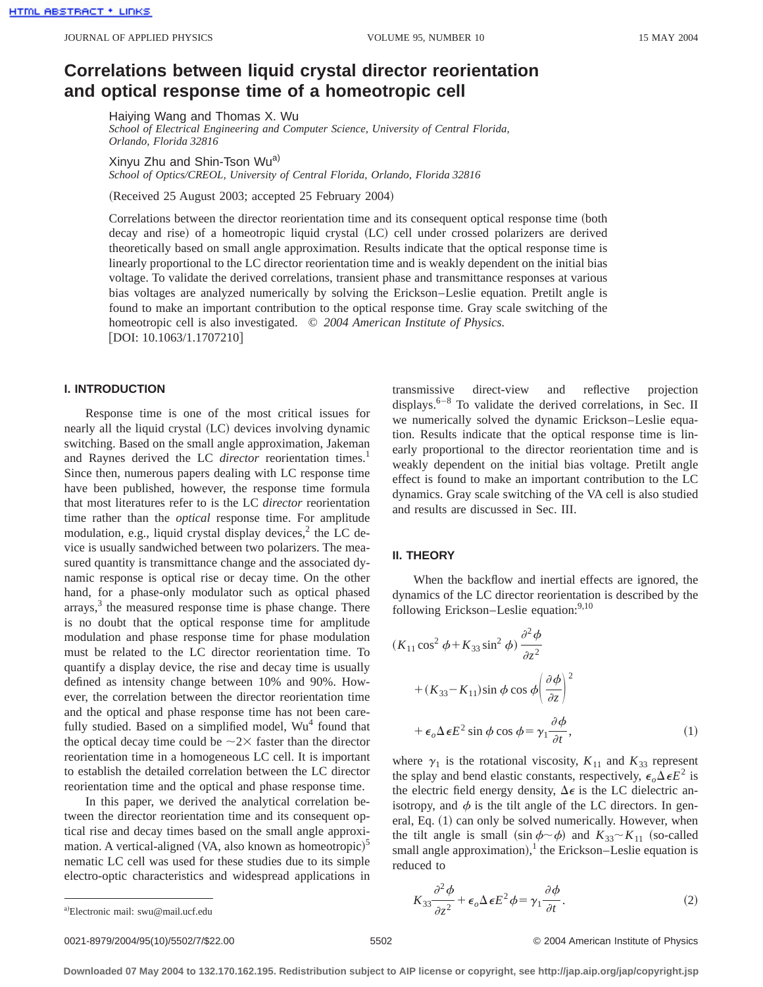# **Correlations between liquid crystal director reorientation and optical response time of a homeotropic cell**

Haiying Wang and Thomas X. Wu

*School of Electrical Engineering and Computer Science, University of Central Florida, Orlando, Florida 32816*

Xinyu Zhu and Shin-Tson Wu<sup>a)</sup>

*School of Optics/CREOL, University of Central Florida, Orlando, Florida 32816*

(Received 25 August 2003; accepted 25 February 2004)

Correlations between the director reorientation time and its consequent optical response time (both decay and rise) of a homeotropic liquid crystal (LC) cell under crossed polarizers are derived theoretically based on small angle approximation. Results indicate that the optical response time is linearly proportional to the LC director reorientation time and is weakly dependent on the initial bias voltage. To validate the derived correlations, transient phase and transmittance responses at various bias voltages are analyzed numerically by solving the Erickson–Leslie equation. Pretilt angle is found to make an important contribution to the optical response time. Gray scale switching of the homeotropic cell is also investigated. © *2004 American Institute of Physics.*  $|DOI: 10.1063/1.1707210|$ 

# **I. INTRODUCTION**

Response time is one of the most critical issues for nearly all the liquid crystal (LC) devices involving dynamic switching. Based on the small angle approximation, Jakeman and Raynes derived the LC *director* reorientation times.<sup>1</sup> Since then, numerous papers dealing with LC response time have been published, however, the response time formula that most literatures refer to is the LC *director* reorientation time rather than the *optical* response time. For amplitude modulation, e.g., liquid crystal display devices, $2$  the LC device is usually sandwiched between two polarizers. The measured quantity is transmittance change and the associated dynamic response is optical rise or decay time. On the other hand, for a phase-only modulator such as optical phased  $arrays<sub>3</sub><sup>3</sup>$  the measured response time is phase change. There is no doubt that the optical response time for amplitude modulation and phase response time for phase modulation must be related to the LC director reorientation time. To quantify a display device, the rise and decay time is usually defined as intensity change between 10% and 90%. However, the correlation between the director reorientation time and the optical and phase response time has not been carefully studied. Based on a simplified model,  $Wu<sup>4</sup>$  found that the optical decay time could be  $\sim$  2 $\times$  faster than the director reorientation time in a homogeneous LC cell. It is important to establish the detailed correlation between the LC director reorientation time and the optical and phase response time.

In this paper, we derived the analytical correlation between the director reorientation time and its consequent optical rise and decay times based on the small angle approximation. A vertical-aligned (VA, also known as homeotropic) $5$ nematic LC cell was used for these studies due to its simple electro-optic characteristics and widespread applications in transmissive direct-view and reflective projection displays.<sup>6–8</sup> To validate the derived correlations, in Sec. II we numerically solved the dynamic Erickson–Leslie equation. Results indicate that the optical response time is linearly proportional to the director reorientation time and is weakly dependent on the initial bias voltage. Pretilt angle effect is found to make an important contribution to the LC dynamics. Gray scale switching of the VA cell is also studied and results are discussed in Sec. III.

#### **II. THEORY**

When the backflow and inertial effects are ignored, the dynamics of the LC director reorientation is described by the following Erickson–Leslie equation: $9,10$ 

$$
(K_{11}\cos^2\phi + K_{33}\sin^2\phi)\frac{\partial^2\phi}{\partial z^2} + (K_{33}-K_{11})\sin\phi\cos\phi\left(\frac{\partial\phi}{\partial z}\right)^2 + \epsilon_o\Delta\epsilon E^2\sin\phi\cos\phi = \gamma_1\frac{\partial\phi}{\partial t},
$$
 (1)

where  $\gamma_1$  is the rotational viscosity,  $K_{11}$  and  $K_{33}$  represent the splay and bend elastic constants, respectively,  $\epsilon_{0} \Delta \epsilon E^{2}$  is the electric field energy density,  $\Delta \epsilon$  is the LC dielectric anisotropy, and  $\phi$  is the tilt angle of the LC directors. In general, Eq.  $(1)$  can only be solved numerically. However, when the tilt angle is small  $(\sin \phi \sim \phi)$  and  $K_{33} \sim K_{11}$  (so-called small angle approximation),<sup>1</sup> the Erickson–Leslie equation is reduced to

$$
K_{33} \frac{\partial^2 \phi}{\partial z^2} + \epsilon_o \Delta \epsilon E^2 \phi = \gamma_1 \frac{\partial \phi}{\partial t}.
$$
 (2)

0021-8979/2004/95(10)/5502/7/\$22.00 © 2004 American Institute of Physics 5502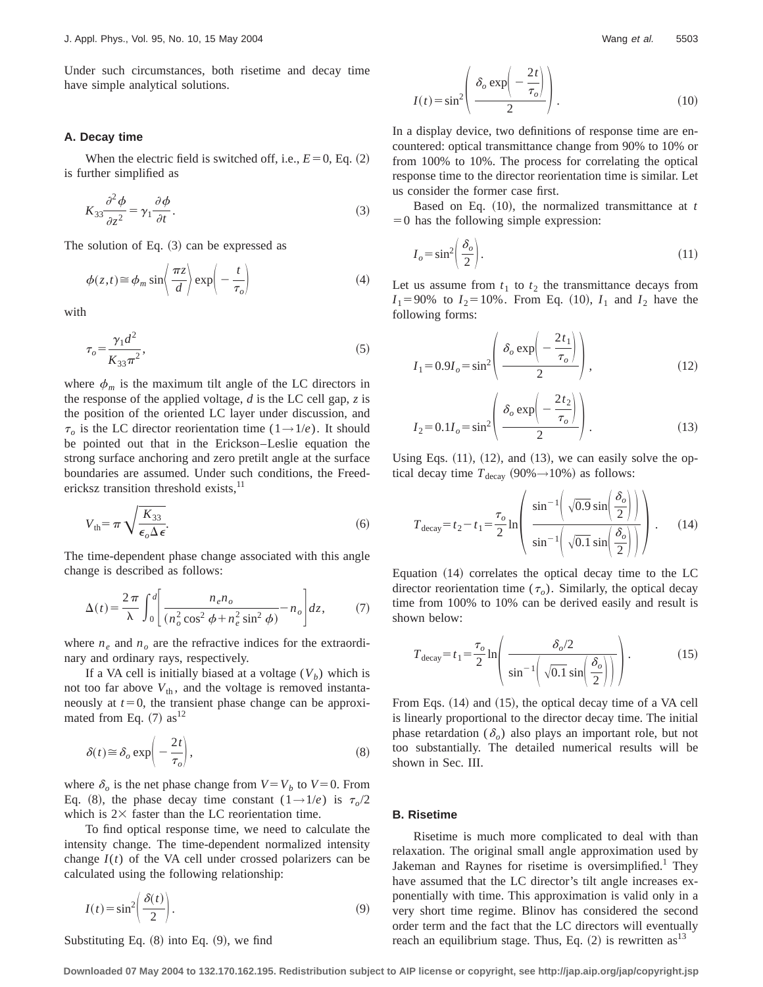Under such circumstances, both risetime and decay time have simple analytical solutions.

#### **A. Decay time**

When the electric field is switched off, i.e.,  $E=0$ , Eq.  $(2)$ is further simplified as

$$
K_{33}\frac{\partial^2 \phi}{\partial z^2} = \gamma_1 \frac{\partial \phi}{\partial t}.
$$
 (3)

The solution of Eq.  $(3)$  can be expressed as

$$
\phi(z,t) \approx \phi_m \sin\left(\frac{\pi z}{d}\right) \exp\left(-\frac{t}{\tau_o}\right) \tag{4}
$$

with

$$
\tau_o = \frac{\gamma_1 d^2}{K_{33} \pi^2},\tag{5}
$$

where  $\phi_m$  is the maximum tilt angle of the LC directors in the response of the applied voltage, *d* is the LC cell gap, *z* is the position of the oriented LC layer under discussion, and  $\tau_o$  is the LC director reorientation time (1→1/*e*). It should be pointed out that in the Erickson–Leslie equation the strong surface anchoring and zero pretilt angle at the surface boundaries are assumed. Under such conditions, the Freedericksz transition threshold exists, $^{11}$ 

$$
V_{\text{th}} = \pi \sqrt{\frac{K_{33}}{\epsilon_o \Delta \epsilon}}.\tag{6}
$$

The time-dependent phase change associated with this angle change is described as follows:

$$
\Delta(t) = \frac{2\pi}{\lambda} \int_0^d \left[ \frac{n_e n_o}{\left(n_o^2 \cos^2 \phi + n_e^2 \sin^2 \phi\right)} - n_o \right] dz, \tag{7}
$$

where  $n_e$  and  $n_o$  are the refractive indices for the extraordinary and ordinary rays, respectively.

If a VA cell is initially biased at a voltage  $(V<sub>b</sub>)$  which is not too far above  $V_{th}$ , and the voltage is removed instantaneously at  $t=0$ , the transient phase change can be approximated from Eq.  $(7)$  as<sup>12</sup>

$$
\delta(t) \approx \delta_o \exp\left(-\frac{2t}{\tau_o}\right),\tag{8}
$$

where  $\delta$ <sub>o</sub> is the net phase change from  $V = V_b$  to  $V = 0$ . From Eq. (8), the phase decay time constant  $(1 \rightarrow 1/e)$  is  $\tau_o/2$ which is  $2 \times$  faster than the LC reorientation time.

To find optical response time, we need to calculate the intensity change. The time-dependent normalized intensity change  $I(t)$  of the VA cell under crossed polarizers can be calculated using the following relationship:

$$
I(t) = \sin^2\left(\frac{\delta(t)}{2}\right).
$$
 (9)

 $I(t) = \sin^2\left(\frac{\delta_o \exp\left(-\frac{2t}{\tau_o}\right)}{2}\right).$  (10)

In a display device, two definitions of response time are encountered: optical transmittance change from 90% to 10% or from 100% to 10%. The process for correlating the optical response time to the director reorientation time is similar. Let us consider the former case first.

Based on Eq.  $(10)$ , the normalized transmittance at *t*  $=0$  has the following simple expression:

$$
I_o = \sin^2\left(\frac{\delta_o}{2}\right). \tag{11}
$$

Let us assume from  $t_1$  to  $t_2$  the transmittance decays from  $I_1 = 90\%$  to  $I_2 = 10\%$ . From Eq. (10),  $I_1$  and  $I_2$  have the following forms:

$$
I_1 = 0.9I_o = \sin^2\left(\frac{\delta_o \exp\left(-\frac{2t_1}{\tau_o}\right)}{2}\right),\tag{12}
$$

$$
I_2 = 0.1I_o = \sin^2\left(\frac{\delta_o \exp\left(-\frac{2t_2}{\tau_o}\right)}{2}\right).
$$
 (13)

Using Eqs.  $(11)$ ,  $(12)$ , and  $(13)$ , we can easily solve the optical decay time  $T_{\text{decay}}$  (90% $\rightarrow$ 10%) as follows:

$$
T_{\text{decay}} = t_2 - t_1 = \frac{\tau_o}{2} \ln \left( \frac{\sin^{-1} \left( \sqrt{0.9} \sin \left( \frac{\delta_o}{2} \right) \right)}{\sin^{-1} \left( \sqrt{0.1} \sin \left( \frac{\delta_o}{2} \right) \right)} \right).
$$
 (14)

Equation  $(14)$  correlates the optical decay time to the LC director reorientation time  $(\tau_o)$ . Similarly, the optical decay time from 100% to 10% can be derived easily and result is shown below:

$$
T_{\text{decay}} = t_1 = \frac{\tau_o}{2} \ln \left( \frac{\delta_o/2}{\sin^{-1} \left( \sqrt{0.1} \sin \left( \frac{\delta_o}{2} \right) \right)} \right). \tag{15}
$$

From Eqs.  $(14)$  and  $(15)$ , the optical decay time of a VA cell is linearly proportional to the director decay time. The initial phase retardation  $(\delta_o)$  also plays an important role, but not too substantially. The detailed numerical results will be shown in Sec. III.

## **B. Risetime**

Risetime is much more complicated to deal with than relaxation. The original small angle approximation used by Jakeman and Raynes for risetime is oversimplified.<sup>1</sup> They have assumed that the LC director's tilt angle increases exponentially with time. This approximation is valid only in a very short time regime. Blinov has considered the second order term and the fact that the LC directors will eventually reach an equilibrium stage. Thus, Eq.  $(2)$  is rewritten as<sup>13</sup>

Substituting Eq.  $(8)$  into Eq.  $(9)$ , we find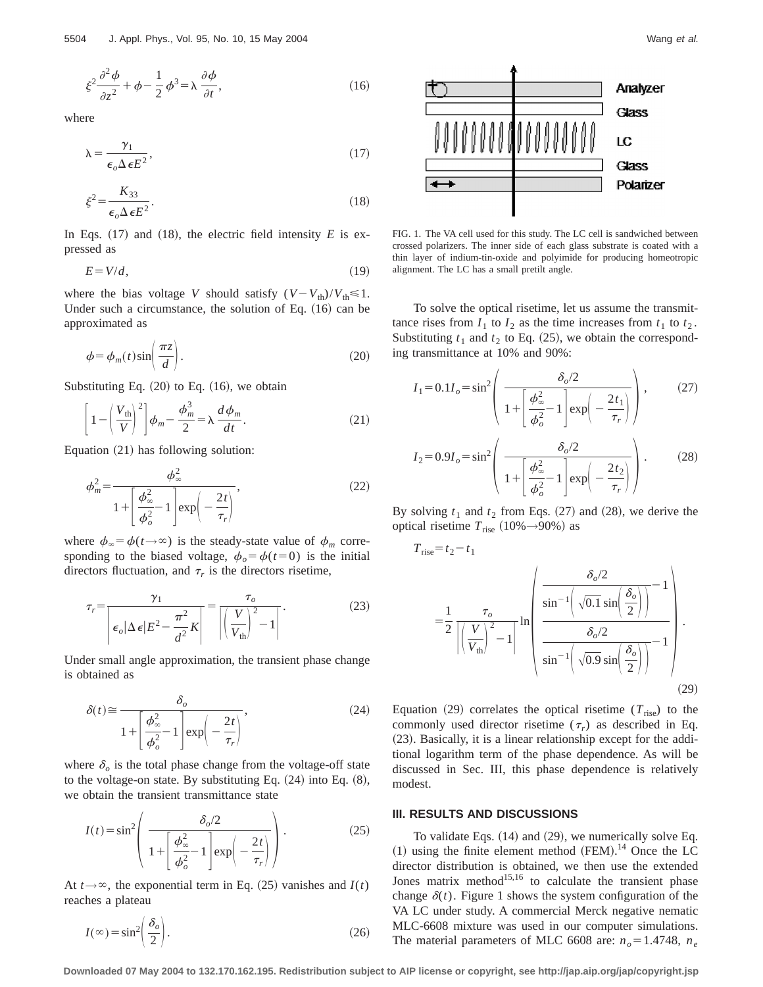$$
\xi^2 \frac{\partial^2 \phi}{\partial z^2} + \phi - \frac{1}{2} \phi^3 = \lambda \frac{\partial \phi}{\partial t},\tag{16}
$$

where

$$
\lambda = \frac{\gamma_1}{\epsilon_o \Delta \epsilon E^2},\tag{17}
$$

$$
\xi^2 = \frac{K_{33}}{\epsilon_o \Delta \epsilon E^2}.
$$
\n(18)

In Eqs.  $(17)$  and  $(18)$ , the electric field intensity *E* is expressed as

$$
E = V/d, \tag{19}
$$

where the bias voltage *V* should satisfy  $(V - V_{\text{th}})/V_{\text{th}} \le 1$ . Under such a circumstance, the solution of Eq.  $(16)$  can be approximated as

$$
\phi = \phi_m(t) \sin\left(\frac{\pi z}{d}\right). \tag{20}
$$

Substituting Eq.  $(20)$  to Eq.  $(16)$ , we obtain

$$
\left[1 - \left(\frac{V_{\text{th}}}{V}\right)^2\right]\phi_m - \frac{\phi_m^3}{2} = \lambda \frac{d\phi_m}{dt}.
$$
 (21)

Equation  $(21)$  has following solution:

$$
\phi_m^2 = \frac{\phi_\infty^2}{1 + \left[\frac{\phi_\infty^2}{\phi_o^2} - 1\right] \exp\left(-\frac{2t}{\tau_r}\right)},\tag{22}
$$

where  $\phi_{\infty} = \phi(t \rightarrow \infty)$  is the steady-state value of  $\phi_m$  corresponding to the biased voltage,  $\phi_o = \phi(t=0)$  is the initial directors fluctuation, and  $\tau_r$  is the directors risetime,

$$
\tau_r = \frac{\gamma_1}{\left|\epsilon_o |\Delta \epsilon| E^2 - \frac{\pi^2}{d^2} K\right|} = \frac{\tau_o}{\left|\left(\frac{V}{V_{\text{th}}}\right)^2 - 1\right|}.
$$
\n(23)

Under small angle approximation, the transient phase change is obtained as

$$
\delta(t) \approx \frac{\delta_o}{1 + \left[\frac{\phi_\infty^2}{\phi_o^2} - 1\right] \exp\left(-\frac{2t}{\tau_r}\right)},\tag{24}
$$

where  $\delta$ <sub>o</sub> is the total phase change from the voltage-off state to the voltage-on state. By substituting Eq.  $(24)$  into Eq.  $(8)$ , we obtain the transient transmittance state

$$
I(t) = \sin^2\left(\frac{\delta_o/2}{1 + \left[\frac{\phi_\infty^2}{\phi_o^2} - 1\right] \exp\left(-\frac{2t}{\tau_r}\right)}\right). \tag{25}
$$

At  $t \rightarrow \infty$ , the exponential term in Eq. (25) vanishes and  $I(t)$ reaches a plateau

$$
I(\infty) = \sin^2 \left( \frac{\delta_o}{2} \right). \tag{26}
$$



FIG. 1. The VA cell used for this study. The LC cell is sandwiched between crossed polarizers. The inner side of each glass substrate is coated with a thin layer of indium-tin-oxide and polyimide for producing homeotropic alignment. The LC has a small pretilt angle.

To solve the optical risetime, let us assume the transmittance rises from  $I_1$  to  $I_2$  as the time increases from  $t_1$  to  $t_2$ . Substituting  $t_1$  and  $t_2$  to Eq. (25), we obtain the corresponding transmittance at 10% and 90%:

$$
I_1 = 0.1I_o = \sin^2\left(\frac{\delta_o/2}{1 + \left[\frac{\phi_{\infty}^2}{\phi_o^2} - 1\right] \exp\left(-\frac{2t_1}{\tau_r}\right)}\right),\qquad(27)
$$

$$
I_2 = 0.9I_o = \sin^2\left(\frac{\delta_o/2}{1 + \left[\frac{\phi_{\infty}^2}{\phi_o^2} - 1\right] \exp\left(-\frac{2t_2}{\tau_r}\right)}\right).
$$

By solving  $t_1$  and  $t_2$  from Eqs.  $(27)$  and  $(28)$ , we derive the optical risetime  $T_{\text{rise}}$  (10% $\rightarrow$ 90%) as

$$
T_{\rm rise} \texttt{=} t_2 \texttt{-} t_1
$$

$$
= \frac{1}{2} \frac{\tau_o}{\left| \left(\frac{V}{V_{\text{th}}} \right)^2 - 1 \right|} \ln \left| \frac{\frac{\delta_o/2}{\sin^{-1} \left( \sqrt{0.1} \sin \left( \frac{\delta_o}{2} \right) \right)} - 1}{\frac{\delta_o/2}{\sin^{-1} \left( \sqrt{0.9} \sin \left( \frac{\delta_o}{2} \right) \right)} - 1} \right|.
$$
(29)

Equation  $(29)$  correlates the optical risetime  $(T_{\text{rise}})$  to the commonly used director risetime  $(\tau_r)$  as described in Eq.  $(23)$ . Basically, it is a linear relationship except for the additional logarithm term of the phase dependence. As will be discussed in Sec. III, this phase dependence is relatively modest.

#### **III. RESULTS AND DISCUSSIONS**

To validate Eqs.  $(14)$  and  $(29)$ , we numerically solve Eq.  $(1)$  using the finite element method (FEM).<sup>14</sup> Once the LC director distribution is obtained, we then use the extended Jones matrix method<sup>15,16</sup> to calculate the transient phase change  $\delta(t)$ . Figure 1 shows the system configuration of the VA LC under study. A commercial Merck negative nematic MLC-6608 mixture was used in our computer simulations. The material parameters of MLC 6608 are:  $n<sub>o</sub> = 1.4748$ ,  $n<sub>e</sub>$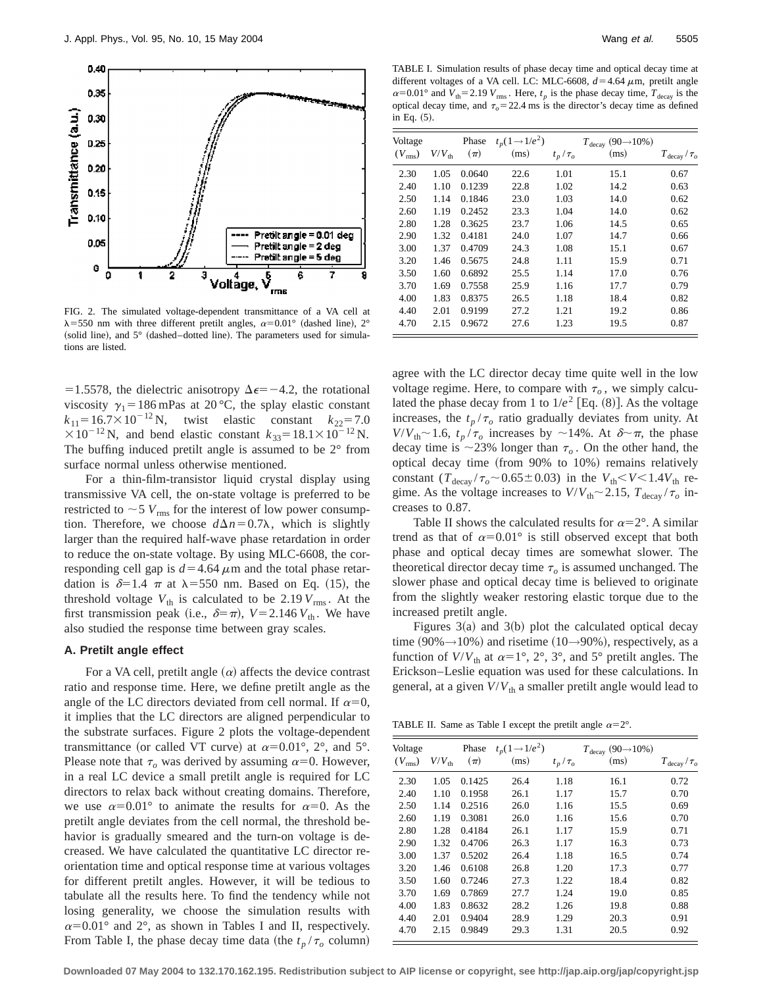

FIG. 2. The simulated voltage-dependent transmittance of a VA cell at  $\lambda$ =550 nm with three different pretilt angles,  $\alpha$ =0.01° (dashed line), 2° (solid line), and  $5^\circ$  (dashed–dotted line). The parameters used for simulations are listed.

=1.5578, the dielectric anisotropy  $\Delta \epsilon$ = -4.2, the rotational viscosity  $\gamma_1 = 186$  mPas at 20 °C, the splay elastic constant  $k_{11}$ =16.7×10<sup>-12</sup> N, twist elastic constant  $k_{22}$ =7.0  $\times 10^{-12}$  N, and bend elastic constant  $k_{33} = 18.1 \times 10^{-12}$  N. The buffing induced pretilt angle is assumed to be 2° from surface normal unless otherwise mentioned.

For a thin-film-transistor liquid crystal display using transmissive VA cell, the on-state voltage is preferred to be restricted to  $\sim$  5  $V_{\rm rms}$  for the interest of low power consumption. Therefore, we choose  $d\Delta n = 0.7\lambda$ , which is slightly larger than the required half-wave phase retardation in order to reduce the on-state voltage. By using MLC-6608, the corresponding cell gap is  $d=4.64 \mu m$  and the total phase retardation is  $\delta=1.4$   $\pi$  at  $\lambda=550$  nm. Based on Eq. (15), the threshold voltage  $V_{th}$  is calculated to be 2.19  $V_{rms}$ . At the first transmission peak (i.e.,  $\delta = \pi$ ),  $V = 2.146 V_{th}$ . We have also studied the response time between gray scales.

#### **A. Pretilt angle effect**

For a VA cell, pretilt angle  $(\alpha)$  affects the device contrast ratio and response time. Here, we define pretilt angle as the angle of the LC directors deviated from cell normal. If  $\alpha=0$ , it implies that the LC directors are aligned perpendicular to the substrate surfaces. Figure 2 plots the voltage-dependent transmittance (or called VT curve) at  $\alpha=0.01^{\circ}$ , 2°, and 5°. Please note that  $\tau$ <sub>o</sub> was derived by assuming  $\alpha$ =0. However, in a real LC device a small pretilt angle is required for LC directors to relax back without creating domains. Therefore, we use  $\alpha=0.01^{\circ}$  to animate the results for  $\alpha=0$ . As the pretilt angle deviates from the cell normal, the threshold behavior is gradually smeared and the turn-on voltage is decreased. We have calculated the quantitative LC director reorientation time and optical response time at various voltages for different pretilt angles. However, it will be tedious to tabulate all the results here. To find the tendency while not losing generality, we choose the simulation results with  $\alpha=0.01^{\circ}$  and  $2^{\circ}$ , as shown in Tables I and II, respectively. From Table I, the phase decay time data (the  $t_p / \tau_o$  column)

TABLE I. Simulation results of phase decay time and optical decay time at different voltages of a VA cell. LC: MLC-6608,  $d=4.64 \mu$ m, pretilt angle  $\alpha$ =0.01° and *V*<sub>th</sub>=2.19 *V*<sub>rms</sub>. Here,  $t_p$  is the phase decay time,  $T_{\text{decay}}$  is the optical decay time, and  $\tau_o$  = 22.4 ms is the director's decay time as defined in Eq.  $(5)$ .

| Voltage<br>$(V_{\rm rms})$ | $V\!/V_{\rm th}$ | Phase<br>$(\pi)$ | $t_p(1 \rightarrow 1/e^2)$<br>(ms) | $t_p/\tau_o$ | $T_{\text{decay}}(90\rightarrow10\%)$<br>(ms) | $T_{\text{decay}}/\tau_o$ |
|----------------------------|------------------|------------------|------------------------------------|--------------|-----------------------------------------------|---------------------------|
| 2.30                       | 1.05             | 0.0640           | 22.6                               | 1.01         | 15.1                                          | 0.67                      |
| 2.40                       | 1.10             | 0.1239           | 22.8                               | 1.02         | 14.2                                          | 0.63                      |
| 2.50                       | 1.14             | 0.1846           | 23.0                               | 1.03         | 14.0                                          | 0.62                      |
| 2.60                       | 1.19             | 0.2452           | 23.3                               | 1.04         | 14.0                                          | 0.62                      |
| 2.80                       | 1.28             | 0.3625           | 23.7                               | 1.06         | 14.5                                          | 0.65                      |
| 2.90                       | 1.32             | 0.4181           | 24.0                               | 1.07         | 14.7                                          | 0.66                      |
| 3.00                       | 1.37             | 0.4709           | 24.3                               | 1.08         | 15.1                                          | 0.67                      |
| 3.20                       | 1.46             | 0.5675           | 24.8                               | 1.11         | 15.9                                          | 0.71                      |
| 3.50                       | 1.60             | 0.6892           | 25.5                               | 1.14         | 17.0                                          | 0.76                      |
| 3.70                       | 1.69             | 0.7558           | 25.9                               | 1.16         | 17.7                                          | 0.79                      |
| 4.00                       | 1.83             | 0.8375           | 26.5                               | 1.18         | 18.4                                          | 0.82                      |
| 4.40                       | 2.01             | 0.9199           | 27.2                               | 1.21         | 19.2                                          | 0.86                      |
| 4.70                       | 2.15             | 0.9672           | 27.6                               | 1.23         | 19.5                                          | 0.87                      |

agree with the LC director decay time quite well in the low voltage regime. Here, to compare with  $\tau$ <sub>o</sub>, we simply calculated the phase decay from 1 to  $1/e^2$  [Eq.  $(8)$ ]. As the voltage increases, the  $t_p/\tau_o$  ratio gradually deviates from unity. At  $V/V_{\text{th}} \sim 1.6$ ,  $t_p/\tau_o$  increases by  $\sim 14\%$ . At  $\delta \sim \pi$ , the phase decay time is  $\sim$ 23% longer than  $\tau$ <sub>o</sub>. On the other hand, the optical decay time (from  $90\%$  to  $10\%$ ) remains relatively constant  $(T_{\text{decay}} / \tau_o \sim 0.65 \pm 0.03)$  in the  $V_{\text{th}} < V < 1.4V_{\text{th}}$  regime. As the voltage increases to  $V/V_{\text{th}} \sim 2.15$ ,  $T_{\text{decay}} / \tau_o$  increases to 0.87.

Table II shows the calculated results for  $\alpha=2^{\circ}$ . A similar trend as that of  $\alpha=0.01^{\circ}$  is still observed except that both phase and optical decay times are somewhat slower. The theoretical director decay time  $\tau_o$  is assumed unchanged. The slower phase and optical decay time is believed to originate from the slightly weaker restoring elastic torque due to the increased pretilt angle.

Figures  $3(a)$  and  $3(b)$  plot the calculated optical decay time  $(90\% \rightarrow 10\%)$  and risetime  $(10\rightarrow 90\%)$ , respectively, as a function of  $V/V_{th}$  at  $\alpha=1^{\circ}$ ,  $2^{\circ}$ ,  $3^{\circ}$ , and  $5^{\circ}$  pretilt angles. The Erickson–Leslie equation was used for these calculations. In general, at a given  $V/V_{th}$  a smaller pretilt angle would lead to

TABLE II. Same as Table I except the pretilt angle  $\alpha=2^{\circ}$ .

| Voltage         |                   | Phase   | $t_p(1 \rightarrow 1/e^2)$ |              | $T_{\text{decay}}(90\rightarrow10\%)$ |                           |
|-----------------|-------------------|---------|----------------------------|--------------|---------------------------------------|---------------------------|
| $(V_{\rm rms})$ | $V/V_{\text{th}}$ | $(\pi)$ | (ms)                       | $t_p/\tau_o$ | (ms)                                  | $T_{\text{decay}}/\tau_o$ |
| 2.30            | 1.05              | 0.1425  | 26.4                       | 1.18         | 16.1                                  | 0.72                      |
| 2.40            | 1.10              | 0.1958  | 26.1                       | 1.17         | 15.7                                  | 0.70                      |
| 2.50            | 1.14              | 0.2516  | 26.0                       | 1.16         | 15.5                                  | 0.69                      |
| 2.60            | 1.19              | 0.3081  | 26.0                       | 1.16         | 15.6                                  | 0.70                      |
| 2.80            | 1.28              | 0.4184  | 26.1                       | 1.17         | 15.9                                  | 0.71                      |
| 2.90            | 1.32              | 0.4706  | 26.3                       | 1.17         | 16.3                                  | 0.73                      |
| 3.00            | 1.37              | 0.5202  | 26.4                       | 1.18         | 16.5                                  | 0.74                      |
| 3.20            | 1.46              | 0.6108  | 26.8                       | 1.20         | 17.3                                  | 0.77                      |
| 3.50            | 1.60              | 0.7246  | 27.3                       | 1.22         | 18.4                                  | 0.82                      |
| 3.70            | 1.69              | 0.7869  | 27.7                       | 1.24         | 19.0                                  | 0.85                      |
| 4.00            | 1.83              | 0.8632  | 28.2                       | 1.26         | 19.8                                  | 0.88                      |
| 4.40            | 2.01              | 0.9404  | 28.9                       | 1.29         | 20.3                                  | 0.91                      |
| 4.70            | 2.15              | 0.9849  | 29.3                       | 1.31         | 20.5                                  | 0.92                      |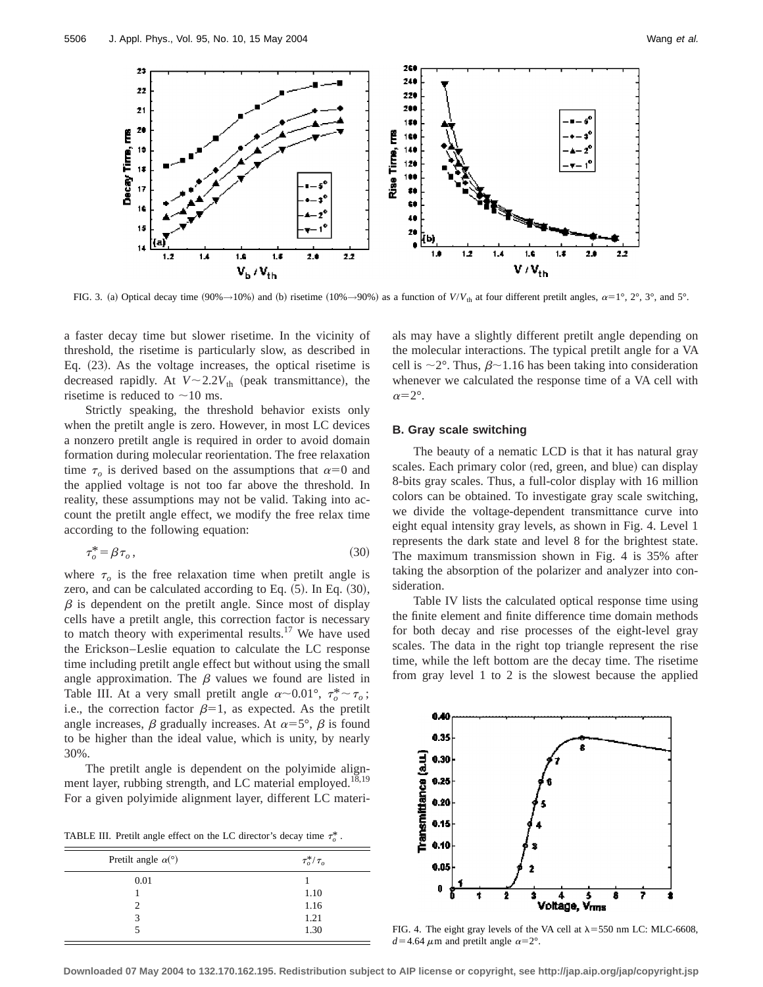

FIG. 3. (a) Optical decay time  $(90\% \rightarrow 10\%)$  and (b) risetime  $(10\% \rightarrow 90\%)$  as a function of  $V/V_{th}$  at four different pretilt angles,  $\alpha=1^\circ$ ,  $2^\circ$ ,  $3^\circ$ , and  $5^\circ$ .

a faster decay time but slower risetime. In the vicinity of threshold, the risetime is particularly slow, as described in Eq.  $(23)$ . As the voltage increases, the optical risetime is decreased rapidly. At  $V \sim 2.2V_{th}$  (peak transmittance), the risetime is reduced to  $\sim$ 10 ms.

Strictly speaking, the threshold behavior exists only when the pretilt angle is zero. However, in most LC devices a nonzero pretilt angle is required in order to avoid domain formation during molecular reorientation. The free relaxation time  $\tau_o$  is derived based on the assumptions that  $\alpha=0$  and the applied voltage is not too far above the threshold. In reality, these assumptions may not be valid. Taking into account the pretilt angle effect, we modify the free relax time according to the following equation:

$$
\tau_o^* = \beta \tau_o, \tag{30}
$$

where  $\tau_o$  is the free relaxation time when pretilt angle is zero, and can be calculated according to Eq.  $(5)$ . In Eq.  $(30)$ ,  $\beta$  is dependent on the pretilt angle. Since most of display cells have a pretilt angle, this correction factor is necessary to match theory with experimental results.<sup>17</sup> We have used the Erickson–Leslie equation to calculate the LC response time including pretilt angle effect but without using the small angle approximation. The  $\beta$  values we found are listed in Table III. At a very small pretilt angle  $\alpha \sim 0.01^{\circ}$ ,  $\tau_o^* \sim \tau_o$ ; i.e., the correction factor  $\beta=1$ , as expected. As the pretilt angle increases,  $\beta$  gradually increases. At  $\alpha=5^{\circ}$ ,  $\beta$  is found to be higher than the ideal value, which is unity, by nearly 30%.

The pretilt angle is dependent on the polyimide alignment layer, rubbing strength, and LC material employed.<sup>18,19</sup> For a given polyimide alignment layer, different LC materi-

TABLE III. Pretilt angle effect on the LC director's decay time  $\tau_o^*$ .

| Pretilt angle $\alpha$ <sup>(°)</sup> | $\tau_o^*/\tau_o$ |
|---------------------------------------|-------------------|
| 0.01                                  |                   |
|                                       | 1.10              |
| 2                                     | 1.16              |
| 3                                     | 1.21              |
|                                       | 1.30              |
|                                       |                   |

als may have a slightly different pretilt angle depending on the molecular interactions. The typical pretilt angle for a VA cell is  $\sim$ 2°. Thus,  $\beta$   $\sim$  1.16 has been taking into consideration whenever we calculated the response time of a VA cell with  $\alpha=2^{\circ}$ .

## **B. Gray scale switching**

The beauty of a nematic LCD is that it has natural gray scales. Each primary color (red, green, and blue) can display 8-bits gray scales. Thus, a full-color display with 16 million colors can be obtained. To investigate gray scale switching, we divide the voltage-dependent transmittance curve into eight equal intensity gray levels, as shown in Fig. 4. Level 1 represents the dark state and level 8 for the brightest state. The maximum transmission shown in Fig. 4 is 35% after taking the absorption of the polarizer and analyzer into consideration.

Table IV lists the calculated optical response time using the finite element and finite difference time domain methods for both decay and rise processes of the eight-level gray scales. The data in the right top triangle represent the rise time, while the left bottom are the decay time. The risetime from gray level 1 to 2 is the slowest because the applied



FIG. 4. The eight gray levels of the VA cell at  $\lambda$ =550 nm LC: MLC-6608,  $d=4.64 \mu$ m and pretilt angle  $\alpha=2^{\circ}$ .

**Downloaded 07 May 2004 to 132.170.162.195. Redistribution subject to AIP license or copyright, see http://jap.aip.org/jap/copyright.jsp**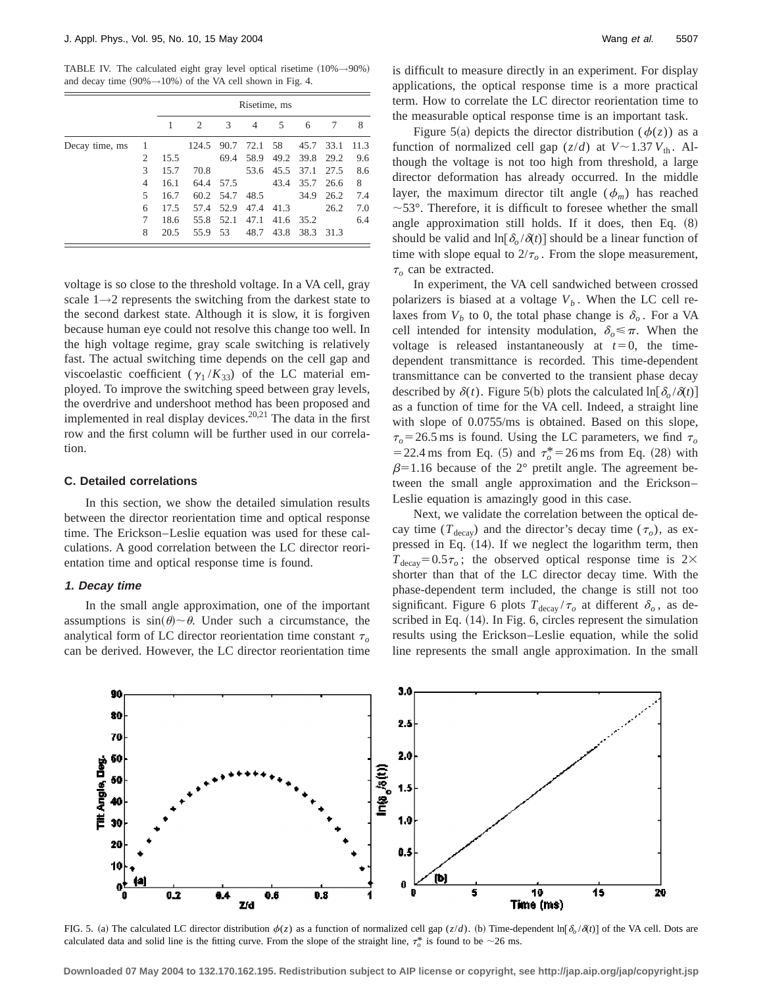TABLE IV. The calculated eight gray level optical risetime  $(10\% \rightarrow 90\%)$ and decay time  $(90\% \rightarrow 10\%)$  of the VA cell shown in Fig. 4.

|                |   | Risetime, ms |       |      |      |      |      |      |      |
|----------------|---|--------------|-------|------|------|------|------|------|------|
|                |   |              | 2     | 3    | 4    | 5    | 6    | 7    | 8    |
| Decay time, ms |   |              | 124.5 | 90.7 | 72.1 | 58   | 45.7 | 33.1 | 11.3 |
|                | 2 | 15.5         |       | 69.4 | 58.9 | 49.2 | 39.8 | 29.2 | 9.6  |
|                | 3 | 15.7         | 70.8  |      | 53.6 | 45.5 | 37.1 | 27.5 | 8.6  |
|                | 4 | 16.1         | 64.4  | 57.5 |      | 43.4 | 35.7 | 26.6 | 8    |
|                | 5 | 16.7         | 60.2  | 54.7 | 48.5 |      | 34.9 | 26.2 | 7.4  |
|                | 6 | 17.5         | 57.4  | 52.9 | 47.4 | 41.3 |      | 26.2 | 7.0  |
|                | 7 | 18.6         | 55.8  | 52.1 | 47.1 | 41.6 | 35.2 |      | 6.4  |
|                | 8 | 20.5         | 55.9  | 53   | 48.7 | 43.8 | 38.3 | 31.3 |      |

voltage is so close to the threshold voltage. In a VA cell, gray scale  $1\rightarrow 2$  represents the switching from the darkest state to the second darkest state. Although it is slow, it is forgiven because human eye could not resolve this change too well. In the high voltage regime, gray scale switching is relatively fast. The actual switching time depends on the cell gap and viscoelastic coefficient ( $\gamma_1 / K_{33}$ ) of the LC material employed. To improve the switching speed between gray levels, the overdrive and undershoot method has been proposed and implemented in real display devices.<sup>20,21</sup> The data in the first row and the first column will be further used in our correlation.

# **C. Detailed correlations**

In this section, we show the detailed simulation results between the director reorientation time and optical response time. The Erickson–Leslie equation was used for these calculations. A good correlation between the LC director reorientation time and optical response time is found.

## **1. Decay time**

In the small angle approximation, one of the important assumptions is  $sin(\theta) \sim \theta$ . Under such a circumstance, the analytical form of LC director reorientation time constant  $\tau_o$ can be derived. However, the LC director reorientation time is difficult to measure directly in an experiment. For display applications, the optical response time is a more practical term. How to correlate the LC director reorientation time to the measurable optical response time is an important task.

Figure 5(a) depicts the director distribution ( $\phi(z)$ ) as a function of normalized cell gap  $(z/d)$  at  $V \sim 1.37 V_{th}$ . Although the voltage is not too high from threshold, a large director deformation has already occurred. In the middle layer, the maximum director tilt angle  $(\phi_m)$  has reached  $\sim$ 53°. Therefore, it is difficult to foresee whether the small angle approximation still holds. If it does, then Eq.  $(8)$ should be valid and  $\ln[\delta_o/\delta(t)]$  should be a linear function of time with slope equal to  $2/\tau_o$ . From the slope measurement,  $\tau$ <sub>o</sub> can be extracted.

In experiment, the VA cell sandwiched between crossed polarizers is biased at a voltage  $V_b$ . When the LC cell relaxes from  $V_b$  to 0, the total phase change is  $\delta_o$ . For a VA cell intended for intensity modulation,  $\delta_{\alpha} \leq \pi$ . When the voltage is released instantaneously at  $t=0$ , the timedependent transmittance is recorded. This time-dependent transmittance can be converted to the transient phase decay described by  $\delta(t)$ . Figure 5(b) plots the calculated ln[ $\delta_0 / \delta(t)$ ] as a function of time for the VA cell. Indeed, a straight line with slope of 0.0755/ms is obtained. Based on this slope,  $\tau_o$ =26.5 ms is found. Using the LC parameters, we find  $\tau_o$  $=$  22.4 ms from Eq. (5) and  $\tau_o^*$  = 26 ms from Eq. (28) with  $\beta$ =1.16 because of the 2° pretilt angle. The agreement between the small angle approximation and the Erickson– Leslie equation is amazingly good in this case.

Next, we validate the correlation between the optical decay time ( $T_{\text{decay}}$ ) and the director's decay time ( $\tau_o$ ), as expressed in Eq.  $(14)$ . If we neglect the logarithm term, then  $T_{\text{decay}} = 0.5\tau_o$ ; the observed optical response time is 2× shorter than that of the LC director decay time. With the phase-dependent term included, the change is still not too significant. Figure 6 plots  $T_{\text{decay}} / \tau_o$  at different  $\delta_o$ , as described in Eq.  $(14)$ . In Fig. 6, circles represent the simulation results using the Erickson–Leslie equation, while the solid line represents the small angle approximation. In the small



FIG. 5. (a) The calculated LC director distribution  $\phi(z)$  as a function of normalized cell gap  $(z/d)$ . (b) Time-dependent ln[ $\delta_0/\delta(t)$ ] of the VA cell. Dots are calculated data and solid line is the fitting curve. From the slope of the straight line,  $\tau_o^*$  is found to be  $\sim$  26 ms.